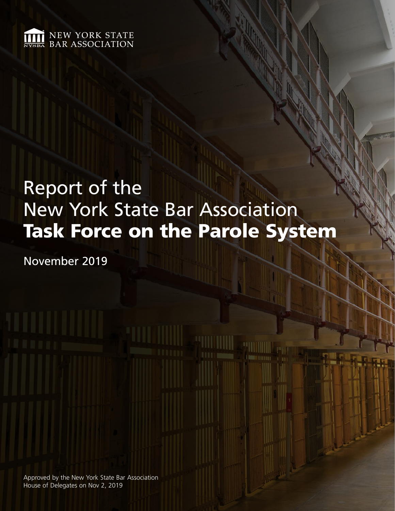

# Report of the New York State Bar Association Task Force on the Parole System

November 2019

Approved by the New York State Bar Association House of Delegates on Nov 2, 2019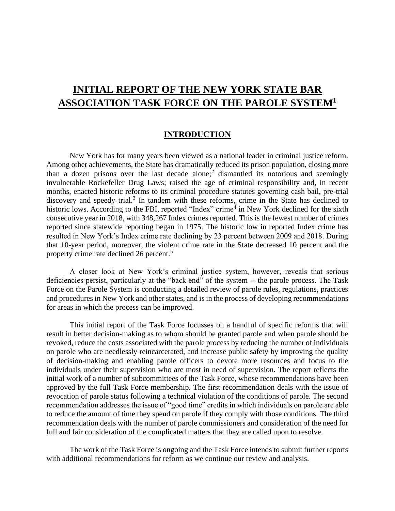## **INITIAL REPORT OF THE NEW YORK STATE BAR ASSOCIATION TASK FORCE ON THE PAROLE SYSTEM<sup>1</sup>**

#### **INTRODUCTION**

New York has for many years been viewed as a national leader in criminal justice reform. Among other achievements, the State has dramatically reduced its prison population, closing more than a dozen prisons over the last decade alone;<sup>2</sup> dismantled its notorious and seemingly invulnerable Rockefeller Drug Laws; raised the age of criminal responsibility and, in recent months, enacted historic reforms to its criminal procedure statutes governing cash bail, pre-trial discovery and speedy trial.<sup>3</sup> In tandem with these reforms, crime in the State has declined to historic lows. According to the FBI, reported "Index" crime<sup>4</sup> in New York declined for the sixth consecutive year in 2018, with 348,267 Index crimes reported. This is the fewest number of crimes reported since statewide reporting began in 1975. The historic low in reported Index crime has resulted in New York's Index crime rate declining by 23 percent between 2009 and 2018. During that 10-year period, moreover, the violent crime rate in the State decreased 10 percent and the property crime rate declined 26 percent.<sup>5</sup>

A closer look at New York's criminal justice system, however, reveals that serious deficiencies persist, particularly at the "back end" of the system -- the parole process. The Task Force on the Parole System is conducting a detailed review of parole rules, regulations, practices and procedures in New York and other states, and is in the process of developing recommendations for areas in which the process can be improved.

This initial report of the Task Force focusses on a handful of specific reforms that will result in better decision-making as to whom should be granted parole and when parole should be revoked, reduce the costs associated with the parole process by reducing the number of individuals on parole who are needlessly reincarcerated, and increase public safety by improving the quality of decision-making and enabling parole officers to devote more resources and focus to the individuals under their supervision who are most in need of supervision. The report reflects the initial work of a number of subcommittees of the Task Force, whose recommendations have been approved by the full Task Force membership. The first recommendation deals with the issue of revocation of parole status following a technical violation of the conditions of parole. The second recommendation addresses the issue of "good time" credits in which individuals on parole are able to reduce the amount of time they spend on parole if they comply with those conditions. The third recommendation deals with the number of parole commissioners and consideration of the need for full and fair consideration of the complicated matters that they are called upon to resolve.

The work of the Task Force is ongoing and the Task Force intends to submit further reports with additional recommendations for reform as we continue our review and analysis.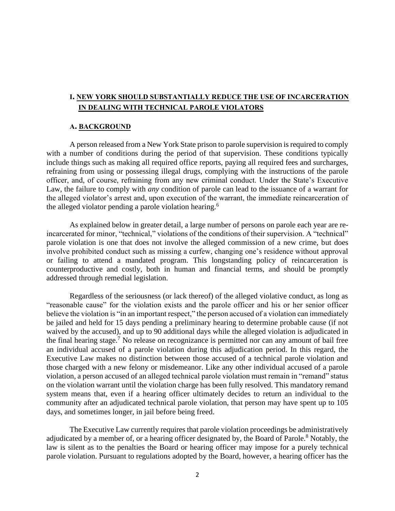### **I. NEW YORK SHOULD SUBSTANTIALLY REDUCE THE USE OF INCARCERATION IN DEALING WITH TECHNICAL PAROLE VIOLATORS**

#### **A. BACKGROUND**

A person released from a New York State prison to parole supervision is required to comply with a number of conditions during the period of that supervision. These conditions typically include things such as making all required office reports, paying all required fees and surcharges, refraining from using or possessing illegal drugs, complying with the instructions of the parole officer, and, of course, refraining from any new criminal conduct. Under the State's Executive Law, the failure to comply with *any* condition of parole can lead to the issuance of a warrant for the alleged violator's arrest and, upon execution of the warrant, the immediate reincarceration of the alleged violator pending a parole violation hearing.<sup>6</sup>

As explained below in greater detail, a large number of persons on parole each year are reincarcerated for minor, "technical," violations of the conditions of their supervision. A "technical" parole violation is one that does not involve the alleged commission of a new crime, but does involve prohibited conduct such as missing a curfew, changing one's residence without approval or failing to attend a mandated program. This longstanding policy of reincarceration is counterproductive and costly, both in human and financial terms, and should be promptly addressed through remedial legislation.

Regardless of the seriousness (or lack thereof) of the alleged violative conduct, as long as "reasonable cause" for the violation exists and the parole officer and his or her senior officer believe the violation is "in an important respect," the person accused of a violation can immediately be jailed and held for 15 days pending a preliminary hearing to determine probable cause (if not waived by the accused), and up to 90 additional days while the alleged violation is adjudicated in the final hearing stage.<sup>7</sup> No release on recognizance is permitted nor can any amount of bail free an individual accused of a parole violation during this adjudication period. In this regard, the Executive Law makes no distinction between those accused of a technical parole violation and those charged with a new felony or misdemeanor. Like any other individual accused of a parole violation, a person accused of an alleged technical parole violation must remain in "remand" status on the violation warrant until the violation charge has been fully resolved. This mandatory remand system means that, even if a hearing officer ultimately decides to return an individual to the community after an adjudicated technical parole violation, that person may have spent up to 105 days, and sometimes longer, in jail before being freed.

The Executive Law currently requires that parole violation proceedings be administratively adjudicated by a member of, or a hearing officer designated by, the Board of Parole.<sup>8</sup> Notably, the law is silent as to the penalties the Board or hearing officer may impose for a purely technical parole violation. Pursuant to regulations adopted by the Board, however, a hearing officer has the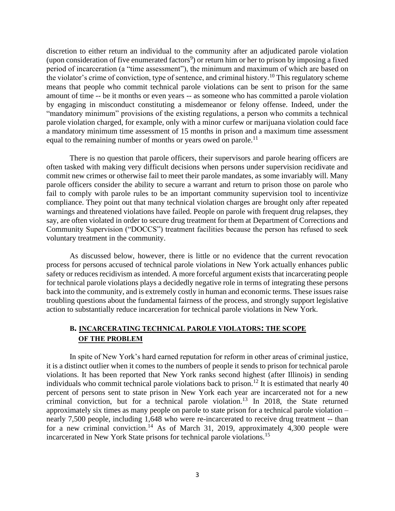discretion to either return an individual to the community after an adjudicated parole violation (upon consideration of five enumerated factors<sup>9</sup>) or return him or her to prison by imposing a fixed period of incarceration (a "time assessment"), the minimum and maximum of which are based on the violator's crime of conviction, type of sentence, and criminal history.<sup>10</sup> This regulatory scheme means that people who commit technical parole violations can be sent to prison for the same amount of time -- be it months or even years -- as someone who has committed a parole violation by engaging in misconduct constituting a misdemeanor or felony offense. Indeed, under the "mandatory minimum" provisions of the existing regulations, a person who commits a technical parole violation charged, for example, only with a minor curfew or marijuana violation could face a mandatory minimum time assessment of 15 months in prison and a maximum time assessment equal to the remaining number of months or years owed on parole.<sup>11</sup>

There is no question that parole officers, their supervisors and parole hearing officers are often tasked with making very difficult decisions when persons under supervision recidivate and commit new crimes or otherwise fail to meet their parole mandates, as some invariably will. Many parole officers consider the ability to secure a warrant and return to prison those on parole who fail to comply with parole rules to be an important community supervision tool to incentivize compliance. They point out that many technical violation charges are brought only after repeated warnings and threatened violations have failed. People on parole with frequent drug relapses, they say, are often violated in order to secure drug treatment for them at Department of Corrections and Community Supervision ("DOCCS") treatment facilities because the person has refused to seek voluntary treatment in the community.

As discussed below, however, there is little or no evidence that the current revocation process for persons accused of technical parole violations in New York actually enhances public safety or reduces recidivism as intended. A more forceful argument exists that incarcerating people for technical parole violations plays a decidedly negative role in terms of integrating these persons back into the community, and is extremely costly in human and economic terms. These issues raise troubling questions about the fundamental fairness of the process, and strongly support legislative action to substantially reduce incarceration for technical parole violations in New York.

### **B. INCARCERATING TECHNICAL PAROLE VIOLATORS: THE SCOPE OF THE PROBLEM**

In spite of New York's hard earned reputation for reform in other areas of criminal justice, it is a distinct outlier when it comes to the numbers of people it sends to prison for technical parole violations. It has been reported that New York ranks second highest (after Illinois) in sending individuals who commit technical parole violations back to prison.<sup>12</sup> It is estimated that nearly  $\overline{40}$ percent of persons sent to state prison in New York each year are incarcerated not for a new criminal conviction, but for a technical parole violation.<sup>13</sup> In 2018, the State returned approximately six times as many people on parole to state prison for a technical parole violation – nearly 7,500 people, including 1,648 who were re-incarcerated to receive drug treatment -- than for a new criminal conviction.<sup>14</sup> As of March 31, 2019, approximately  $\frac{4}{300}$  people were incarcerated in New York State prisons for technical parole violations.<sup>15</sup>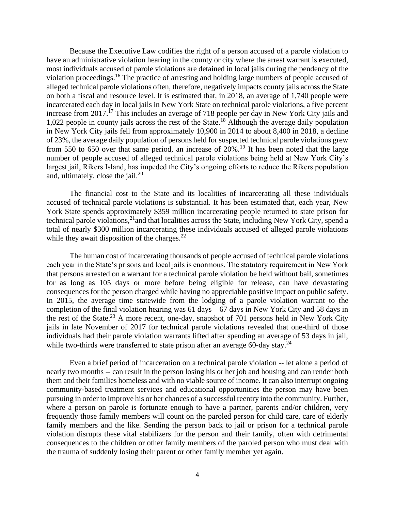Because the Executive Law codifies the right of a person accused of a parole violation to have an administrative violation hearing in the county or city where the arrest warrant is executed, most individuals accused of parole violations are detained in local jails during the pendency of the violation proceedings.<sup>16</sup> The practice of arresting and holding large numbers of people accused of alleged technical parole violations often, therefore, negatively impacts county jails across the State on both a fiscal and resource level. It is estimated that, in 2018, an average of 1,740 people were incarcerated each day in local jails in New York State on technical parole violations, a five percent increase from  $2017$ .<sup>17</sup> This includes an average of 718 people per day in New York City jails and 1,022 people in county jails across the rest of the State.<sup>18</sup> Although the average daily population in New York City jails fell from approximately 10,900 in 2014 to about 8,400 in 2018, a decline of 23%, the average daily population of persons held for suspected technical parole violations grew from 550 to 650 over that same period, an increase of  $20\%$ .<sup>19</sup> It has been noted that the large number of people accused of alleged technical parole violations being held at New York City's largest jail, Rikers Island, has impeded the City's ongoing efforts to reduce the Rikers population and, ultimately, close the jail.<sup>20</sup>

The financial cost to the State and its localities of incarcerating all these individuals accused of technical parole violations is substantial. It has been estimated that, each year, New York State spends approximately \$359 million incarcerating people returned to state prison for technical parole violations,<sup>21</sup> and that localities across the State, including New York City, spend a total of nearly \$300 million incarcerating these individuals accused of alleged parole violations while they await disposition of the charges. $22$ 

The human cost of incarcerating thousands of people accused of technical parole violations each year in the State's prisons and local jails is enormous. The statutory requirement in New York that persons arrested on a warrant for a technical parole violation be held without bail, sometimes for as long as 105 days or more before being eligible for release, can have devastating consequences for the person charged while having no appreciable positive impact on public safety. In 2015, the average time statewide from the lodging of a parole violation warrant to the completion of the final violation hearing was  $61 \text{ days} - 67 \text{ days}$  in New York City and 58 days in the rest of the State.<sup>23</sup> A more recent, one-day, snapshot of 701 persons held in New York City jails in late November of 2017 for technical parole violations revealed that one-third of those individuals had their parole violation warrants lifted after spending an average of 53 days in jail, while two-thirds were transferred to state prison after an average 60-day stay.<sup>24</sup>

Even a brief period of incarceration on a technical parole violation -- let alone a period of nearly two months -- can result in the person losing his or her job and housing and can render both them and their families homeless and with no viable source of income. It can also interrupt ongoing community-based treatment services and educational opportunities the person may have been pursuing in order to improve his or her chances of a successful reentry into the community. Further, where a person on parole is fortunate enough to have a partner, parents and/or children, very frequently those family members will count on the paroled person for child care, care of elderly family members and the like. Sending the person back to jail or prison for a technical parole violation disrupts these vital stabilizers for the person and their family, often with detrimental consequences to the children or other family members of the paroled person who must deal with the trauma of suddenly losing their parent or other family member yet again.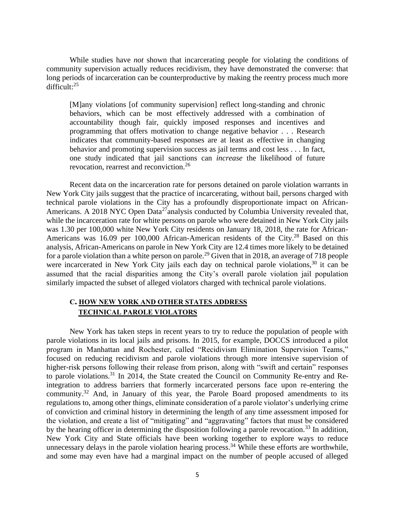While studies have *not* shown that incarcerating people for violating the conditions of community supervision actually reduces recidivism, they have demonstrated the converse: that long periods of incarceration can be counterproductive by making the reentry process much more difficult:<sup>25</sup>

[M]any violations [of community supervision] reflect long-standing and chronic behaviors, which can be most effectively addressed with a combination of accountability though fair, quickly imposed responses and incentives and programming that offers motivation to change negative behavior . . . Research indicates that community-based responses are at least as effective in changing behavior and promoting supervision success as jail terms and cost less . . . In fact, one study indicated that jail sanctions can *increase* the likelihood of future revocation, rearrest and reconviction.<sup>26</sup>

Recent data on the incarceration rate for persons detained on parole violation warrants in New York City jails suggest that the practice of incarcerating, without bail, persons charged with technical parole violations in the City has a profoundly disproportionate impact on African-Americans. A 2018 NYC Open Data<sup>27</sup>analysis conducted by Columbia University revealed that, while the incarceration rate for white persons on parole who were detained in New York City jails was 1.30 per 100,000 white New York City residents on January 18, 2018, the rate for African-Americans was 16.09 per 100,000 African-American residents of the City.<sup>28</sup> Based on this analysis, African-Americans on parole in New York City are 12.4 times more likely to be detained for a parole violation than a white person on parole.<sup>29</sup> Given that in 2018, an average of 718 people were incarcerated in New York City jails each day on technical parole violations,  $30$  it can be assumed that the racial disparities among the City's overall parole violation jail population similarly impacted the subset of alleged violators charged with technical parole violations.

### **C. HOW NEW YORK AND OTHER STATES ADDRESS TECHNICAL PAROLE VIOLATORS**

New York has taken steps in recent years to try to reduce the population of people with parole violations in its local jails and prisons. In 2015, for example, DOCCS introduced a pilot program in Manhattan and Rochester, called "Recidivism Elimination Supervision Teams," focused on reducing recidivism and parole violations through more intensive supervision of higher-risk persons following their release from prison, along with "swift and certain" responses to parole violations.<sup>31</sup> In 2014, the State created the Council on Community Re-entry and Reintegration to address barriers that formerly incarcerated persons face upon re-entering the community.<sup>32</sup> And, in January of this year, the Parole Board proposed amendments to its regulations to, among other things, eliminate consideration of a parole violator's underlying crime of conviction and criminal history in determining the length of any time assessment imposed for the violation, and create a list of "mitigating" and "aggravating" factors that must be considered by the hearing officer in determining the disposition following a parole revocation.<sup>33</sup> In addition, New York City and State officials have been working together to explore ways to reduce unnecessary delays in the parole violation hearing process.<sup>34</sup> While these efforts are worthwhile, and some may even have had a marginal impact on the number of people accused of alleged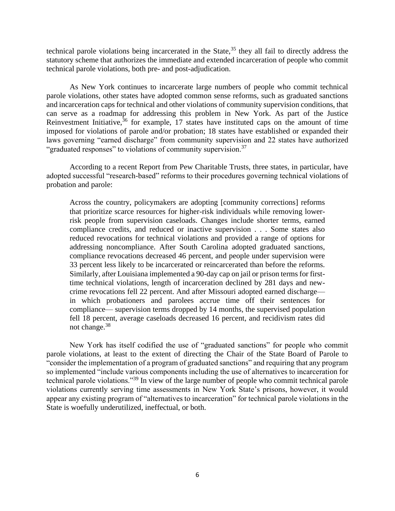technical parole violations being incarcerated in the State, $35$  they all fail to directly address the statutory scheme that authorizes the immediate and extended incarceration of people who commit technical parole violations, both pre- and post-adjudication.

As New York continues to incarcerate large numbers of people who commit technical parole violations, other states have adopted common sense reforms, such as graduated sanctions and incarceration caps for technical and other violations of community supervision conditions, that can serve as a roadmap for addressing this problem in New York. As part of the Justice Reinvestment Initiative,  $36$  for example, 17 states have instituted caps on the amount of time imposed for violations of parole and/or probation; 18 states have established or expanded their laws governing "earned discharge" from community supervision and 22 states have authorized "graduated responses" to violations of community supervision.<sup>37</sup>

According to a recent Report from Pew Charitable Trusts, three states, in particular, have adopted successful "research-based" reforms to their procedures governing technical violations of probation and parole:

Across the country, policymakers are adopting [community corrections] reforms that prioritize scarce resources for higher-risk individuals while removing lowerrisk people from supervision caseloads. Changes include shorter terms, earned compliance credits, and reduced or inactive supervision . . . Some states also reduced revocations for technical violations and provided a range of options for addressing noncompliance. After South Carolina adopted graduated sanctions, compliance revocations decreased 46 percent, and people under supervision were 33 percent less likely to be incarcerated or reincarcerated than before the reforms. Similarly, after Louisiana implemented a 90-day cap on jail or prison terms for firsttime technical violations, length of incarceration declined by 281 days and newcrime revocations fell 22 percent. And after Missouri adopted earned discharge in which probationers and parolees accrue time off their sentences for compliance— supervision terms dropped by 14 months, the supervised population fell 18 percent, average caseloads decreased 16 percent, and recidivism rates did not change.<sup>38</sup>

New York has itself codified the use of "graduated sanctions" for people who commit parole violations, at least to the extent of directing the Chair of the State Board of Parole to "consider the implementation of a program of graduated sanctions" and requiring that any program so implemented "include various components including the use of alternatives to incarceration for technical parole violations."<sup>39</sup> In view of the large number of people who commit technical parole violations currently serving time assessments in New York State's prisons, however, it would appear any existing program of "alternatives to incarceration" for technical parole violations in the State is woefully underutilized, ineffectual, or both.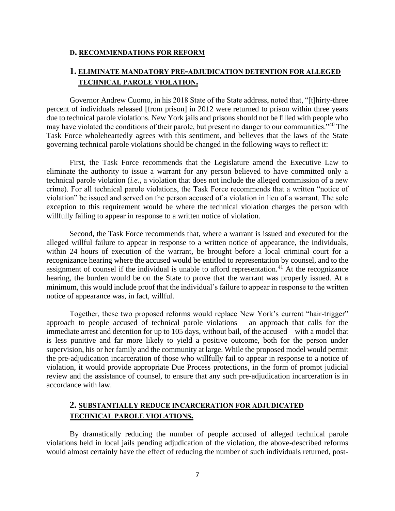#### **D. RECOMMENDATIONS FOR REFORM**

### **1. ELIMINATE MANDATORY PRE-ADJUDICATION DETENTION FOR ALLEGED TECHNICAL PAROLE VIOLATION.**

Governor Andrew Cuomo, in his 2018 State of the State address, noted that, "[t]hirty-three percent of individuals released [from prison] in 2012 were returned to prison within three years due to technical parole violations. New York jails and prisons should not be filled with people who may have violated the conditions of their parole, but present no danger to our communities."<sup>40</sup> The Task Force wholeheartedly agrees with this sentiment, and believes that the laws of the State governing technical parole violations should be changed in the following ways to reflect it:

First, the Task Force recommends that the Legislature amend the Executive Law to eliminate the authority to issue a warrant for any person believed to have committed only a technical parole violation (*i.e.*, a violation that does not include the alleged commission of a new crime). For all technical parole violations, the Task Force recommends that a written "notice of violation" be issued and served on the person accused of a violation in lieu of a warrant. The sole exception to this requirement would be where the technical violation charges the person with willfully failing to appear in response to a written notice of violation.

Second, the Task Force recommends that, where a warrant is issued and executed for the alleged willful failure to appear in response to a written notice of appearance, the individuals, within 24 hours of execution of the warrant, be brought before a local criminal court for a recognizance hearing where the accused would be entitled to representation by counsel, and to the assignment of counsel if the individual is unable to afford representation.<sup>41</sup> At the recognizance hearing, the burden would be on the State to prove that the warrant was properly issued. At a minimum, this would include proof that the individual's failure to appear in response to the written notice of appearance was, in fact, willful.

Together, these two proposed reforms would replace New York's current "hair-trigger" approach to people accused of technical parole violations – an approach that calls for the immediate arrest and detention for up to 105 days, without bail, of the accused – with a model that is less punitive and far more likely to yield a positive outcome, both for the person under supervision, his or her family and the community at large. While the proposed model would permit the pre-adjudication incarceration of those who willfully fail to appear in response to a notice of violation, it would provide appropriate Due Process protections, in the form of prompt judicial review and the assistance of counsel, to ensure that any such pre-adjudication incarceration is in accordance with law.

### **2. SUBSTANTIALLY REDUCE INCARCERATION FOR ADJUDICATED TECHNICAL PAROLE VIOLATIONS.**

By dramatically reducing the number of people accused of alleged technical parole violations held in local jails pending adjudication of the violation, the above-described reforms would almost certainly have the effect of reducing the number of such individuals returned, post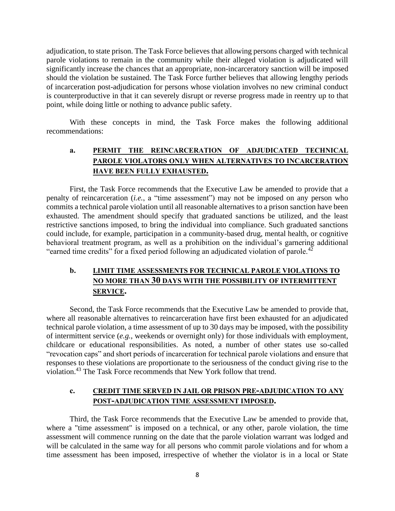adjudication, to state prison. The Task Force believes that allowing persons charged with technical parole violations to remain in the community while their alleged violation is adjudicated will significantly increase the chances that an appropriate, non-incarceratory sanction will be imposed should the violation be sustained. The Task Force further believes that allowing lengthy periods of incarceration post-adjudication for persons whose violation involves no new criminal conduct is counterproductive in that it can severely disrupt or reverse progress made in reentry up to that point, while doing little or nothing to advance public safety.

With these concepts in mind, the Task Force makes the following additional recommendations:

## **a. PERMIT THE REINCARCERATION OF ADJUDICATED TECHNICAL PAROLE VIOLATORS ONLY WHEN ALTERNATIVES TO INCARCERATION HAVE BEEN FULLY EXHAUSTED.**

First, the Task Force recommends that the Executive Law be amended to provide that a penalty of reincarceration (*i.e.*, a "time assessment") may not be imposed on any person who commits a technical parole violation until all reasonable alternatives to a prison sanction have been exhausted. The amendment should specify that graduated sanctions be utilized, and the least restrictive sanctions imposed, to bring the individual into compliance. Such graduated sanctions could include, for example, participation in a community-based drug, mental health, or cognitive behavioral treatment program, as well as a prohibition on the individual's garnering additional "earned time credits" for a fixed period following an adjudicated violation of parole.<sup>42</sup>

## **b. LIMIT TIME ASSESSMENTS FOR TECHNICAL PAROLE VIOLATIONS TO NO MORE THAN 30 DAYS WITH THE POSSIBILITY OF INTERMITTENT SERVICE.**

Second, the Task Force recommends that the Executive Law be amended to provide that, where all reasonable alternatives to reincarceration have first been exhausted for an adjudicated technical parole violation, a time assessment of up to 30 days may be imposed, with the possibility of intermittent service (*e.g.*, weekends or overnight only) for those individuals with employment, childcare or educational responsibilities. As noted, a number of other states use so-called "revocation caps" and short periods of incarceration for technical parole violations and ensure that responses to these violations are proportionate to the seriousness of the conduct giving rise to the violation.<sup>43</sup> The Task Force recommends that New York follow that trend.

#### **c. CREDIT TIME SERVED IN JAIL OR PRISON PRE-ADJUDICATION TO ANY POST-ADJUDICATION TIME ASSESSMENT IMPOSED.**

Third, the Task Force recommends that the Executive Law be amended to provide that, where a "time assessment" is imposed on a technical, or any other, parole violation, the time assessment will commence running on the date that the parole violation warrant was lodged and will be calculated in the same way for all persons who commit parole violations and for whom a time assessment has been imposed, irrespective of whether the violator is in a local or State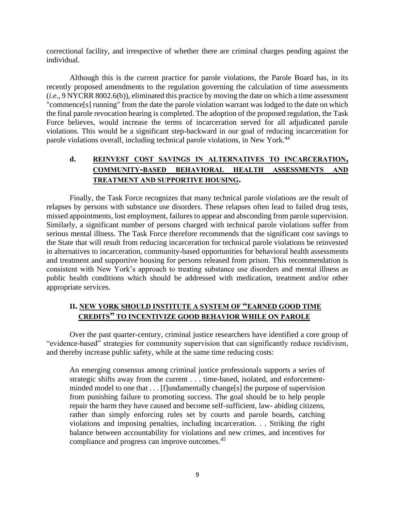correctional facility, and irrespective of whether there are criminal charges pending against the individual.

Although this is the current practice for parole violations, the Parole Board has, in its recently proposed amendments to the regulation governing the calculation of time assessments (*i.e.*, 9 NYCRR 8002.6(b)), eliminated this practice by moving the date on which a time assessment "commence[s] running" from the date the parole violation warrant was lodged to the date on which the final parole revocation hearing is completed. The adoption of the proposed regulation, the Task Force believes, would increase the terms of incarceration served for all adjudicated parole violations. This would be a significant step-backward in our goal of reducing incarceration for parole violations overall, including technical parole violations, in New York.<sup>44</sup>

## **d. REINVEST COST SAVINGS IN ALTERNATIVES TO INCARCERATION, COMMUNITY-BASED BEHAVIORAL HEALTH ASSESSMENTS AND TREATMENT AND SUPPORTIVE HOUSING.**

Finally, the Task Force recognizes that many technical parole violations are the result of relapses by persons with substance use disorders. These relapses often lead to failed drug tests, missed appointments, lost employment, failures to appear and absconding from parole supervision. Similarly, a significant number of persons charged with technical parole violations suffer from serious mental illness. The Task Force therefore recommends that the significant cost savings to the State that will result from reducing incarceration for technical parole violations be reinvested in alternatives to incarceration, community-based opportunities for behavioral health assessments and treatment and supportive housing for persons released from prison. This recommendation is consistent with New York's approach to treating substance use disorders and mental illness as public health conditions which should be addressed with medication, treatment and/or other appropriate services.

## **II. NEW YORK SHOULD INSTITUTE A SYSTEM OF "EARNED GOOD TIME CREDITS" TO INCENTIVIZE GOOD BEHAVIOR WHILE ON PAROLE**

Over the past quarter-century, criminal justice researchers have identified a core group of "evidence-based" strategies for community supervision that can significantly reduce recidivism, and thereby increase public safety, while at the same time reducing costs:

An emerging consensus among criminal justice professionals supports a series of strategic shifts away from the current . . . time-based, isolated, and enforcementminded model to one that . . . [f]undamentally change[s] the purpose of supervision from punishing failure to promoting success. The goal should be to help people repair the harm they have caused and become self-sufficient, law- abiding citizens, rather than simply enforcing rules set by courts and parole boards, catching violations and imposing penalties, including incarceration. . . Striking the right balance between accountability for violations and new crimes, and incentives for compliance and progress can improve outcomes.<sup>45</sup>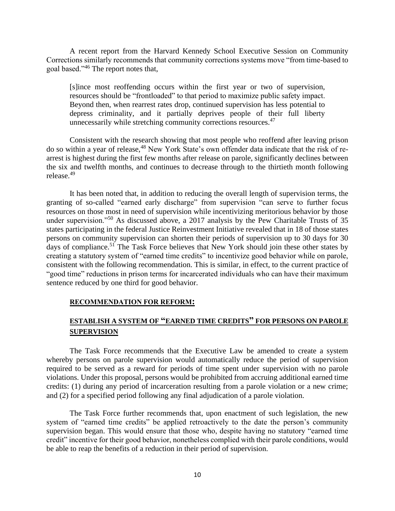A recent report from the Harvard Kennedy School Executive Session on Community Corrections similarly recommends that community corrections systems move "from time-based to goal based."<sup>46</sup> The report notes that,

[s]ince most reoffending occurs within the first year or two of supervision, resources should be "frontloaded" to that period to maximize public safety impact. Beyond then, when rearrest rates drop, continued supervision has less potential to depress criminality, and it partially deprives people of their full liberty unnecessarily while stretching community corrections resources.<sup>47</sup>

Consistent with the research showing that most people who reoffend after leaving prison do so within a year of release,<sup>48</sup> New York State's own offender data indicate that the risk of rearrest is highest during the first few months after release on parole, significantly declines between the six and twelfth months, and continues to decrease through to the thirtieth month following release.<sup>49</sup>

It has been noted that, in addition to reducing the overall length of supervision terms, the granting of so-called "earned early discharge" from supervision "can serve to further focus resources on those most in need of supervision while incentivizing meritorious behavior by those under supervision."<sup>50</sup> As discussed above, a 2017 analysis by the Pew Charitable Trusts of 35 states participating in the federal Justice Reinvestment Initiative revealed that in 18 of those states persons on community supervision can shorten their periods of supervision up to 30 days for 30 days of compliance.<sup>51</sup> The Task Force believes that New York should join these other states by creating a statutory system of "earned time credits" to incentivize good behavior while on parole, consistent with the following recommendation. This is similar, in effect, to the current practice of "good time" reductions in prison terms for incarcerated individuals who can have their maximum sentence reduced by one third for good behavior.

#### **RECOMMENDATION FOR REFORM:**

## **ESTABLISH A SYSTEM OF "EARNED TIME CREDITS" FOR PERSONS ON PAROLE SUPERVISION**

The Task Force recommends that the Executive Law be amended to create a system whereby persons on parole supervision would automatically reduce the period of supervision required to be served as a reward for periods of time spent under supervision with no parole violations. Under this proposal, persons would be prohibited from accruing additional earned time credits: (1) during any period of incarceration resulting from a parole violation or a new crime; and (2) for a specified period following any final adjudication of a parole violation.

The Task Force further recommends that, upon enactment of such legislation, the new system of "earned time credits" be applied retroactively to the date the person's community supervision began. This would ensure that those who, despite having no statutory "earned time credit" incentive for their good behavior, nonetheless complied with their parole conditions, would be able to reap the benefits of a reduction in their period of supervision.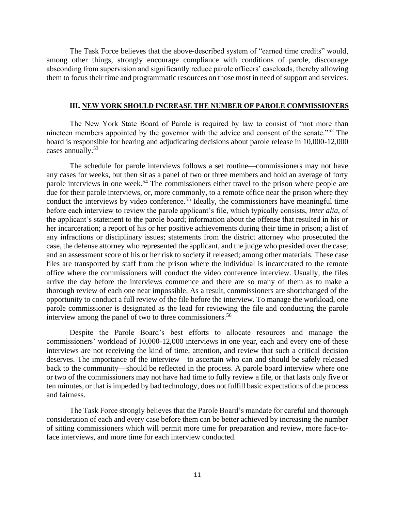The Task Force believes that the above-described system of "earned time credits" would, among other things, strongly encourage compliance with conditions of parole, discourage absconding from supervision and significantly reduce parole officers' caseloads, thereby allowing them to focus their time and programmatic resources on those most in need of support and services.

#### **III. NEW YORK SHOULD INCREASE THE NUMBER OF PAROLE COMMISSIONERS**

The New York State Board of Parole is required by law to consist of "not more than nineteen members appointed by the governor with the advice and consent of the senate."<sup>52</sup> The board is responsible for hearing and adjudicating decisions about parole release in 10,000-12,000 cases annually.<sup>53</sup>

The schedule for parole interviews follows a set routine—commissioners may not have any cases for weeks, but then sit as a panel of two or three members and hold an average of forty parole interviews in one week.<sup>54</sup> The commissioners either travel to the prison where people are due for their parole interviews, or, more commonly, to a remote office near the prison where they conduct the interviews by video conference.<sup>55</sup> Ideally, the commissioners have meaningful time before each interview to review the parole applicant's file, which typically consists, *inter alia*, of the applicant's statement to the parole board; information about the offense that resulted in his or her incarceration; a report of his or her positive achievements during their time in prison; a list of any infractions or disciplinary issues; statements from the district attorney who prosecuted the case, the defense attorney who represented the applicant, and the judge who presided over the case; and an assessment score of his or her risk to society if released; among other materials. These case files are transported by staff from the prison where the individual is incarcerated to the remote office where the commissioners will conduct the video conference interview. Usually, the files arrive the day before the interviews commence and there are so many of them as to make a thorough review of each one near impossible. As a result, commissioners are shortchanged of the opportunity to conduct a full review of the file before the interview. To manage the workload, one parole commissioner is designated as the lead for reviewing the file and conducting the parole interview among the panel of two to three commissioners.<sup>56</sup>

Despite the Parole Board's best efforts to allocate resources and manage the commissioners' workload of 10,000-12,000 interviews in one year, each and every one of these interviews are not receiving the kind of time, attention, and review that such a critical decision deserves. The importance of the interview—to ascertain who can and should be safely released back to the community—should be reflected in the process. A parole board interview where one or two of the commissioners may not have had time to fully review a file, or that lasts only five or ten minutes, or that is impeded by bad technology, does not fulfill basic expectations of due process and fairness.

The Task Force strongly believes that the Parole Board's mandate for careful and thorough consideration of each and every case before them can be better achieved by increasing the number of sitting commissioners which will permit more time for preparation and review, more face-toface interviews, and more time for each interview conducted.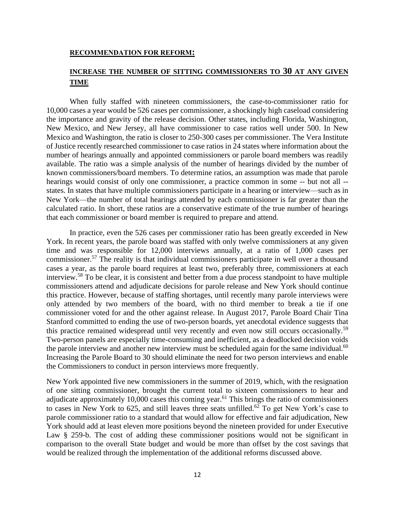#### **RECOMMENDATION FOR REFORM:**

## **INCREASE THE NUMBER OF SITTING COMMISSIONERS TO 30 AT ANY GIVEN TIME**

When fully staffed with nineteen commissioners, the case-to-commissioner ratio for 10,000 cases a year would be 526 cases per commissioner, a shockingly high caseload considering the importance and gravity of the release decision. Other states, including Florida, Washington, New Mexico, and New Jersey, all have commissioner to case ratios well under 500. In New Mexico and Washington, the ratio is closer to 250-300 cases per commissioner. The Vera Institute of Justice recently researched commissioner to case ratios in 24 states where information about the number of hearings annually and appointed commissioners or parole board members was readily available. The ratio was a simple analysis of the number of hearings divided by the number of known commissioners/board members. To determine ratios, an assumption was made that parole hearings would consist of only one commissioner, a practice common in some -- but not all - states. In states that have multiple commissioners participate in a hearing or interview—such as in New York—the number of total hearings attended by each commissioner is far greater than the calculated ratio. In short, these ratios are a conservative estimate of the true number of hearings that each commissioner or board member is required to prepare and attend.

In practice, even the 526 cases per commissioner ratio has been greatly exceeded in New York. In recent years, the parole board was staffed with only twelve commissioners at any given time and was responsible for 12,000 interviews annually, at a ratio of 1,000 cases per commissioner.<sup>57</sup> The reality is that individual commissioners participate in well over a thousand cases a year, as the parole board requires at least two, preferably three, commissioners at each interview.<sup>58</sup> To be clear, it is consistent and better from a due process standpoint to have multiple commissioners attend and adjudicate decisions for parole release and New York should continue this practice. However, because of staffing shortages, until recently many parole interviews were only attended by two members of the board, with no third member to break a tie if one commissioner voted for and the other against release. In August 2017, Parole Board Chair Tina Stanford committed to ending the use of two-person boards, yet anecdotal evidence suggests that this practice remained widespread until very recently and even now still occurs occasionally.<sup>59</sup> Two-person panels are especially time-consuming and inefficient, as a deadlocked decision voids the parole interview and another new interview must be scheduled again for the same individual.<sup>60</sup> Increasing the Parole Board to 30 should eliminate the need for two person interviews and enable the Commissioners to conduct in person interviews more frequently.

New York appointed five new commissioners in the summer of 2019, which, with the resignation of one sitting commissioner, brought the current total to sixteen commissioners to hear and adjudicate approximately 10,000 cases this coming year.<sup>61</sup> This brings the ratio of commissioners to cases in New York to 625, and still leaves three seats unfilled.<sup>62</sup> To get New York's case to parole commissioner ratio to a standard that would allow for effective and fair adjudication, New York should add at least eleven more positions beyond the nineteen provided for under Executive Law § 259-b. The cost of adding these commissioner positions would not be significant in comparison to the overall State budget and would be more than offset by the cost savings that would be realized through the implementation of the additional reforms discussed above.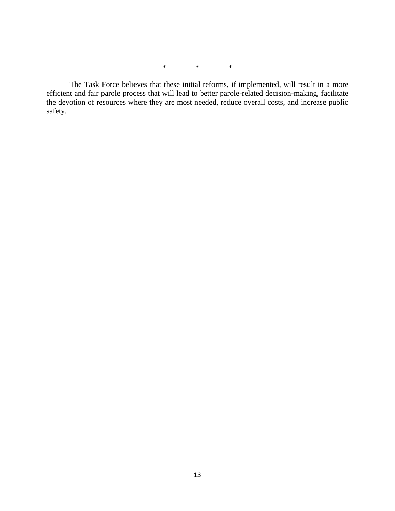\* \* \*

The Task Force believes that these initial reforms, if implemented, will result in a more efficient and fair parole process that will lead to better parole-related decision-making, facilitate the devotion of resources where they are most needed, reduce overall costs, and increase public safety.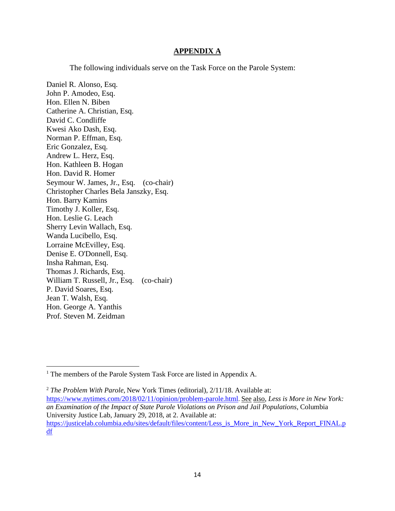#### **APPENDIX A**

The following individuals serve on the Task Force on the Parole System:

Daniel R. Alonso, Esq. John P. Amodeo, Esq. Hon. Ellen N. Biben Catherine A. Christian, Esq. David C. Condliffe Kwesi Ako Dash, Esq. Norman P. Effman, Esq. Eric Gonzalez, Esq. Andrew L. Herz, Esq. Hon. Kathleen B. Hogan Hon. David R. Homer Seymour W. James, Jr., Esq. (co-chair) Christopher Charles Bela Janszky, Esq. Hon. Barry Kamins Timothy J. Koller, Esq. Hon. Leslie G. Leach Sherry Levin Wallach, Esq. Wanda Lucibello, Esq. Lorraine McEvilley, Esq. Denise E. O'Donnell, Esq. Insha Rahman, Esq. Thomas J. Richards, Esq. William T. Russell, Jr., Esq. (co-chair) P. David Soares, Esq. Jean T. Walsh, Esq. Hon. George A. Yanthis Prof. Steven M. Zeidman

<sup>&</sup>lt;sup>1</sup> The members of the Parole System Task Force are listed in Appendix A.

<sup>2</sup> *The Problem With Parole*, New York Times (editorial), 2/11/18. Available at: <https://www.nytimes.com/2018/02/11/opinion/problem-parole.html>. See also, *Less is More in New York: an Examination of the Impact of State Parole Violations on Prison and Jail Populations*, Columbia University Justice Lab, January 29, 2018, at 2. Available at: [https://justicelab.columbia.edu/sites/default/files/content/Less\\_is\\_More\\_in\\_New\\_York\\_Report\\_FINAL.p](https://justicelab.columbia.edu/sites/default/files/content/Less_is_More_in_New_York_Report_FINAL.pdf) [df](https://justicelab.columbia.edu/sites/default/files/content/Less_is_More_in_New_York_Report_FINAL.pdf)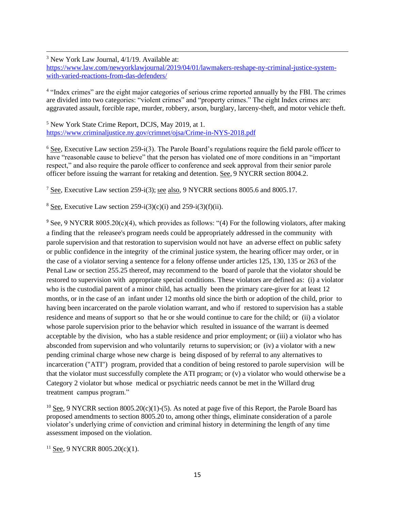<sup>3</sup> New York Law Journal, 4/1/19. Available at:

[https://www.law.com/newyorklawjournal/2019/04/01/lawmakers-reshape-ny-criminal-justice-system](https://www.law.com/newyorklawjournal/2019/04/01/lawmakers-reshape-ny-criminal-justice-system-with-varied-reactions-from-das-defenders/)[with-varied-reactions-from-das-defenders/](https://www.law.com/newyorklawjournal/2019/04/01/lawmakers-reshape-ny-criminal-justice-system-with-varied-reactions-from-das-defenders/)

<sup>4</sup> "Index crimes" are the eight major categories of serious crime reported annually by the FBI. The crimes are divided into two categories: "violent crimes" and "property crimes." The eight Index crimes are: aggravated assault, forcible rape, murder, robbery, arson, burglary, larceny-theft, and motor vehicle theft.

<sup>5</sup> New York State Crime Report, DCJS, May 2019, at 1. <https://www.criminaljustice.ny.gov/crimnet/ojsa/Crime-in-NYS-2018.pdf>

 $6$  See, Executive Law section 259-i(3). The Parole Board's regulations require the field parole officer to have "reasonable cause to believe" that the person has violated one of more conditions in an "important" respect," and also require the parole officer to conference and seek approval from their senior parole officer before issuing the warrant for retaking and detention. See, 9 NYCRR section 8004.2.

<sup>7</sup> See, Executive Law section 259-i(3); see also, 9 NYCRR sections 8005.6 and 8005.17.

<sup>8</sup> See, Executive Law section 259-i(3)(c)(i) and 259-i(3)(f)(ii).

<sup>9</sup> See, 9 NYCRR 8005.20(c)(4), which provides as follows: "(4) For the following violators, after making a finding that the releasee's program needs could be appropriately addressed in the community with parole supervision and that restoration to supervision would not have an adverse effect on public safety or public confidence in the integrity of the criminal justice system, the hearing officer may order, or in the case of a violator serving a sentence for a felony offense under articles 125, 130, 135 or 263 of the Penal Law or section 255.25 thereof, may recommend to the board of parole that the violator should be restored to supervision with appropriate special conditions. These violators are defined as: (i) a violator who is the custodial parent of a minor child, has actually been the primary care-giver for at least 12 months, or in the case of an infant under 12 months old since the birth or adoption of the child, prior to having been incarcerated on the parole violation warrant, and who if restored to supervision has a stable residence and means of support so that he or she would continue to care for the child; or (ii) a violator whose parole supervision prior to the behavior which resulted in issuance of the warrant is deemed acceptable by the division, who has a stable residence and prior employment; or (iii) a violator who has absconded from supervision and who voluntarily returns to supervision; or (iv) a violator with a new pending criminal charge whose new charge is being disposed of by referral to any alternatives to incarceration ("ATI") program, provided that a condition of being restored to parole supervision will be that the violator must successfully complete the ATI program; or (v) a violator who would otherwise be a Category 2 violator but whose medical or psychiatric needs cannot be met in the Willard drug treatment campus program."

<sup>10</sup> See, 9 NYCRR section 8005.20(c)(1)-(5). As noted at page five of this Report, the Parole Board has proposed amendments to section 8005.20 to, among other things, eliminate consideration of a parole violator's underlying crime of conviction and criminal history in determining the length of any time assessment imposed on the violation.

 $11$  See, 9 NYCRR 8005.20(c)(1).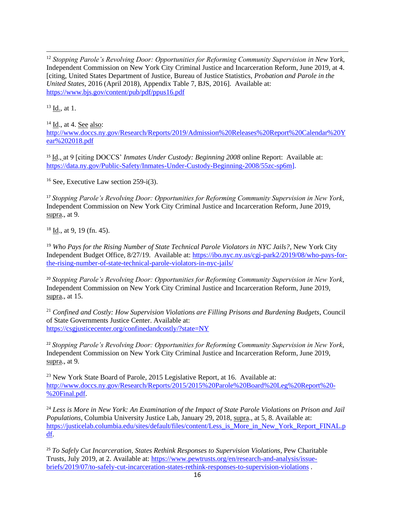<sup>12</sup> Stopping Parole's Revolving Door: Opportunities for Reforming Community Supervision in New York, Independent Commission on New York City Criminal Justice and Incarceration Reform, June 2019, at 4. [citing, United States Department of Justice, Bureau of Justice Statistics, *Probation and Parole in the United States*, 2016 (April 2018), Appendix Table 7, BJS, 2016]. Available at: <https://www.bjs.gov/content/pub/pdf/ppus16.pdf>

<sup>13</sup> Id., at 1.

 $14$  Id., at 4. See also:

[http://www.doccs.ny.gov/Research/Reports/2019/Admission%20Releases%20Report%20Calendar%20Y](http://www.doccs.ny.gov/Research/Reports/2019/Admission%20Releases%20Report%20Calendar%20Year%202018.pdf) [ear%202018.pdf](http://www.doccs.ny.gov/Research/Reports/2019/Admission%20Releases%20Report%20Calendar%20Year%202018.pdf)

<sup>15</sup> Id., at 9 [citing DOCCS' *Inmates Under Custody: Beginning 2008* online Report: Available at: [https://data.ny.gov/Public-Safety/Inmates-Under-Custody-Beginning-2008/55zc-sp6m\]](https://data.ny.gov/Public-Safety/Inmates-Under-Custody-Beginning-2008/55zc-sp6m).

 $16$  See, Executive Law section 259-i(3).

<sup>17</sup> *Stopping Parole's Revolving Door: Opportunities for Reforming Community Supervision in New York*, Independent Commission on New York City Criminal Justice and Incarceration Reform, June 2019, supra., at 9.

 $18$  Id., at 9, 19 (fn. 45).

<sup>19</sup> *Who Pays for the Rising Number of State Technical Parole Violators in NYC Jails?*, New York City Independent Budget Office, 8/27/19. Available at: [https://ibo.nyc.ny.us/cgi-park2/2019/08/who-pays-for](https://ibo.nyc.ny.us/cgi-park2/2019/08/who-pays-for-the-rising-number-of-state-technical-parole-violators-in-nyc-jails/)[the-rising-number-of-state-technical-parole-violators-in-nyc-jails/](https://ibo.nyc.ny.us/cgi-park2/2019/08/who-pays-for-the-rising-number-of-state-technical-parole-violators-in-nyc-jails/) 

<sup>20</sup> *Stopping Parole's Revolving Door: Opportunities for Reforming Community Supervision in New York*, Independent Commission on New York City Criminal Justice and Incarceration Reform, June 2019, supra., at 15.

<sup>21</sup> *Confined and Costly: How Supervision Violations are Filling Prisons and Burdening Budgets*, Council of State Governments Justice Center. Available at: <https://csgjusticecenter.org/confinedandcostly/?state=NY>

<sup>22</sup> *Stopping Parole's Revolving Door: Opportunities for Reforming Community Supervision in New York*, Independent Commission on New York City Criminal Justice and Incarceration Reform, June 2019, supra., at 9.

<sup>23</sup> New York State Board of Parole, 2015 Legislative Report, at 16. Available at: [http://www.doccs.ny.gov/Research/Reports/2015/2015%20Parole%20Board%20Leg%20Report%20-](http://www.doccs.ny.gov/Research/Reports/2015/2015%20Parole%20Board%20Leg%20Report%20-%20Final.pdf) [%20Final.pdf.](http://www.doccs.ny.gov/Research/Reports/2015/2015%20Parole%20Board%20Leg%20Report%20-%20Final.pdf)

<sup>24</sup> *Less is More in New York: An Examination of the Impact of State Parole Violations on Prison and Jail Populations*, Columbia University Justice Lab, January 29, 2018, supra., at 5, 8. Available at: [https://justicelab.columbia.edu/sites/default/files/content/Less\\_is\\_More\\_in\\_New\\_York\\_Report\\_FINAL.p](https://justicelab.columbia.edu/sites/default/files/content/Less_is_More_in_New_York_Report_FINAL.pdf) [df.](https://justicelab.columbia.edu/sites/default/files/content/Less_is_More_in_New_York_Report_FINAL.pdf)

<sup>25</sup> *To Safely Cut Incarceration, States Rethink Responses to Supervision Violations*, Pew Charitable Trusts, July 2019, at 2. Available at: [https://www.pewtrusts.org/en/research-and-analysis/issue](https://www.pewtrusts.org/en/research-and-analysis/issue-briefs/2019/07/to-safely-cut-incarceration-states-rethink-responses-to-supervision-violations)[briefs/2019/07/to-safely-cut-incarceration-states-rethink-responses-to-supervision-violations](https://www.pewtrusts.org/en/research-and-analysis/issue-briefs/2019/07/to-safely-cut-incarceration-states-rethink-responses-to-supervision-violations) .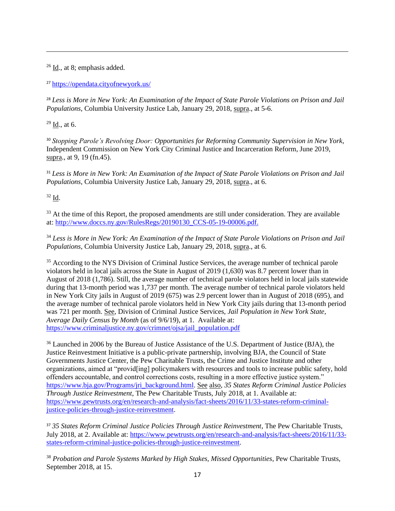<sup>26</sup> Id., at 8; emphasis added.

<sup>27</sup> <https://opendata.cityofnewyork.us/>

<sup>28</sup> *Less is More in New York: An Examination of the Impact of State Parole Violations on Prison and Jail Populations*, Columbia University Justice Lab, January 29, 2018, supra., at 5-6.

 $29$  Id., at 6.

<sup>30</sup> *Stopping Parole's Revolving Door: Opportunities for Reforming Community Supervision in New York*, Independent Commission on New York City Criminal Justice and Incarceration Reform, June 2019, supra., at 9, 19 (fn.45).

<sup>31</sup> *Less is More in New York: An Examination of the Impact of State Parole Violations on Prison and Jail Populations*, Columbia University Justice Lab, January 29, 2018, supra., at 6.

<sup>32</sup> Id.

<sup>33</sup> At the time of this Report, the proposed amendments are still under consideration. They are available at[: http://www.doccs.ny.gov/RulesRegs/20190130\\_CCS-05-19-00006.pdf.](http://www.doccs.ny.gov/RulesRegs/20190130_CCS-05-19-00006.pdf)

<sup>34</sup> *Less is More in New York: An Examination of the Impact of State Parole Violations on Prison and Jail Populations*, Columbia University Justice Lab, January 29, 2018, supra., at 6.

<sup>35</sup> According to the NYS Division of Criminal Justice Services, the average number of technical parole violators held in local jails across the State in August of 2019 (1,630) was 8.7 percent lower than in August of 2018 (1,786). Still, the average number of technical parole violators held in local jails statewide during that 13-month period was 1,737 per month. The average number of technical parole violators held in New York City jails in August of 2019 (675) was 2.9 percent lower than in August of 2018 (695), and the average number of technical parole violators held in New York City jails during that 13-month period was 721 per month. See, Division of Criminal Justice Services, *Jail Population in New York State, Average Daily Census by Month* (as of 9/6/19), at 1. Available at: [https://www.criminaljustice.ny.gov/crimnet/ojsa/jail\\_population.pdf](https://www.criminaljustice.ny.gov/crimnet/ojsa/jail_population.pdf)

<sup>36</sup> Launched in 2006 by the Bureau of Justice Assistance of the U.S. Department of Justice (BJA), the Justice Reinvestment Initiative is a public-private partnership, involving BJA, the Council of State Governments Justice Center, the Pew Charitable Trusts, the Crime and Justice Institute and other organizations, aimed at "provid[ing] policymakers with resources and tools to increase public safety, hold offenders accountable, and control corrections costs, resulting in a more effective justice system." [https://www.bja.gov/Programs/jri\\_background.html.](https://www.bja.gov/Programs/jri_background.html) See also, *35 States Reform Criminal Justice Policies Through Justice Reinvestment*, The Pew Charitable Trusts, July 2018, at 1. Available at: [https://www.pewtrusts.org/en/research-and-analysis/fact-sheets/2016/11/33-states-reform-criminal](https://www.pewtrusts.org/en/research-and-analysis/fact-sheets/2016/11/33-states-reform-criminal-justice-policies-through-justice-reinvestment)[justice-policies-through-justice-reinvestment.](https://www.pewtrusts.org/en/research-and-analysis/fact-sheets/2016/11/33-states-reform-criminal-justice-policies-through-justice-reinvestment)

<sup>37</sup> *35 States Reform Criminal Justice Policies Through Justice Reinvestment*, The Pew Charitable Trusts, July 2018, at 2. Available at: [https://www.pewtrusts.org/en/research-and-analysis/fact-sheets/2016/11/33](https://www.pewtrusts.org/en/research-and-analysis/fact-sheets/2016/11/33-states-reform-criminal-justice-policies-through-justice-reinvestment) [states-reform-criminal-justice-policies-through-justice-reinvestment.](https://www.pewtrusts.org/en/research-and-analysis/fact-sheets/2016/11/33-states-reform-criminal-justice-policies-through-justice-reinvestment)

<sup>38</sup> *Probation and Parole Systems Marked by High Stakes, Missed Opportunities*, Pew Charitable Trusts, September 2018, at 15.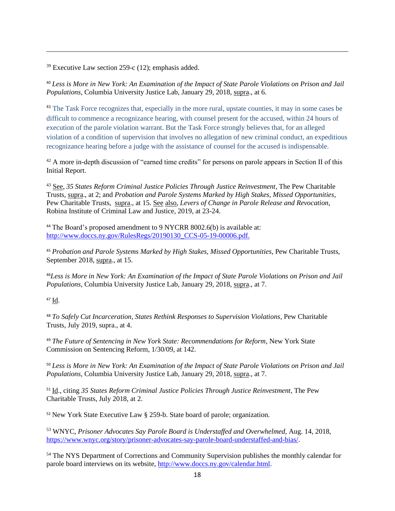$39$  Executive Law section 259-c (12); emphasis added.

<sup>40</sup> *Less is More in New York: An Examination of the Impact of State Parole Violations on Prison and Jail Populations*, Columbia University Justice Lab, January 29, 2018, supra., at 6.

<sup>41</sup> The Task Force recognizes that, especially in the more rural, upstate counties, it may in some cases be difficult to commence a recognizance hearing, with counsel present for the accused, within 24 hours of execution of the parole violation warrant. But the Task Force strongly believes that, for an alleged violation of a condition of supervision that involves no allegation of new criminal conduct, an expeditious recognizance hearing before a judge with the assistance of counsel for the accused is indispensable.

<sup>42</sup> A more in-depth discussion of "earned time credits" for persons on parole appears in Section II of this Initial Report.

<sup>43</sup> See, *35 States Reform Criminal Justice Policies Through Justice Reinvestment*, The Pew Charitable Trusts, supra., at 2; and *Probation and Parole Systems Marked by High Stakes, Missed Opportunities*, Pew Charitable Trusts, supra., at 15. See also, *Levers of Change in Parole Release and Revocation*, Robina Institute of Criminal Law and Justice, 2019, at 23-24.

<sup>44</sup> The Board's proposed amendment to 9 NYCRR 8002.6(b) is available at: [http://www.doccs.ny.gov/RulesRegs/20190130\\_CCS-05-19-00006.pdf.](http://www.doccs.ny.gov/RulesRegs/20190130_CCS-05-19-00006.pdf)

<sup>45</sup> *Probation and Parole Systems Marked by High Stakes, Missed Opportunities*, Pew Charitable Trusts, September 2018, supra., at 15.

<sup>46</sup>*Less is More in New York: An Examination of the Impact of State Parole Violations on Prison and Jail Populations*, Columbia University Justice Lab, January 29, 2018, supra., at 7.

#### <sup>47</sup> Id.

<sup>48</sup> *To Safely Cut Incarceration, States Rethink Responses to Supervision Violations*, Pew Charitable Trusts, July 2019, supra., at 4.

<sup>49</sup> *The Future of Sentencing in New York State: Recommendations for Reform*, New York State Commission on Sentencing Reform, 1/30/09, at 142.

<sup>50</sup> *Less is More in New York: An Examination of the Impact of State Parole Violations on Prison and Jail Populations*, Columbia University Justice Lab, January 29, 2018, supra., at 7.

<sup>51</sup> Id., citing *35 States Reform Criminal Justice Policies Through Justice Reinvestment*, The Pew Charitable Trusts, July 2018, at 2.

<sup>52</sup> New York State Executive Law § 259-b. State board of parole; organization.

<sup>53</sup> WNYC, *Prisoner Advocates Say Parole Board is Understaffed and Overwhelmed*, Aug. 14, 2018, [https://www.wnyc.org/story/prisoner-advocates-say-parole-board-understaffed-and-bias/.](https://www.wnyc.org/story/prisoner-advocates-say-parole-board-understaffed-and-bias/)

<sup>54</sup> The NYS Department of Corrections and Community Supervision publishes the monthly calendar for parole board interviews on its website, [http://www.doccs.ny.gov/calendar.html.](http://www.doccs.ny.gov/calendar.html)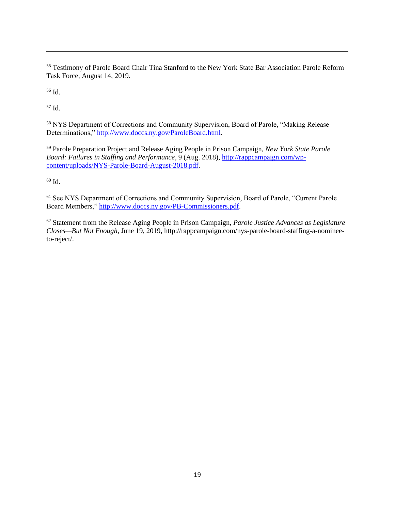<sup>55</sup> Testimony of Parole Board Chair Tina Stanford to the New York State Bar Association Parole Reform Task Force, August 14, 2019.

<sup>56</sup> Id.

<sup>57</sup> Id.

<sup>58</sup> NYS Department of Corrections and Community Supervision, Board of Parole, "Making Release Determinations," [http://www.doccs.ny.gov/ParoleBoard.html.](http://www.doccs.ny.gov/ParoleBoard.html)

<sup>59</sup> Parole Preparation Project and Release Aging People in Prison Campaign, *New York State Parole Board: Failures in Staffing and Performance*, 9 (Aug. 2018), [http://rappcampaign.com/wp](http://rappcampaign.com/wp-content/uploads/NYS-Parole-Board-August-2018.pdf)[content/uploads/NYS-Parole-Board-August-2018.pdf.](http://rappcampaign.com/wp-content/uploads/NYS-Parole-Board-August-2018.pdf)

<sup>60</sup> Id.

<sup>61</sup> See NYS Department of Corrections and Community Supervision, Board of Parole, "Current Parole Board Members," [http://www.doccs.ny.gov/PB-Commissioners.pdf.](http://www.doccs.ny.gov/PB-Commissioners.pdf)

<sup>62</sup> Statement from the Release Aging People in Prison Campaign, *Parole Justice Advances as Legislature Closes—But Not Enough*, June 19, 2019, http://rappcampaign.com/nys-parole-board-staffing-a-nomineeto-reject/.